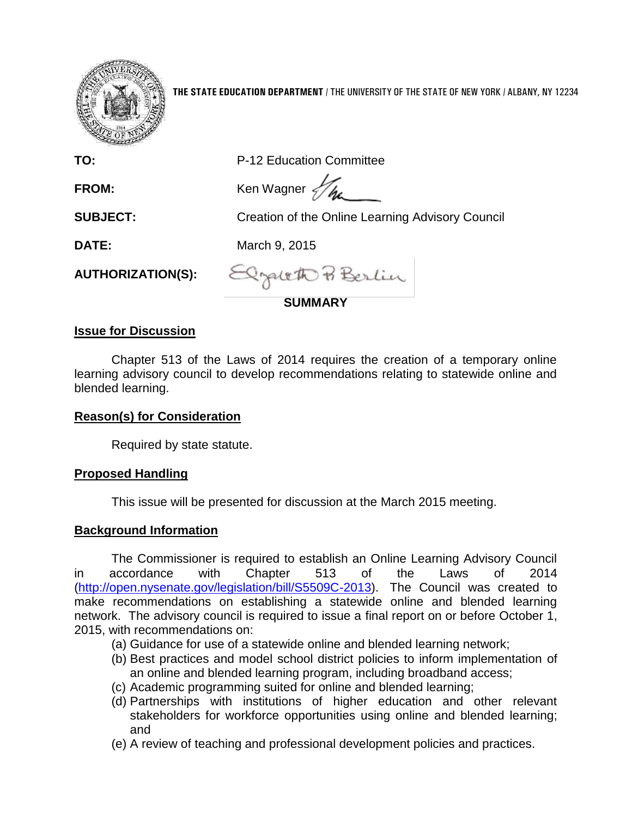

**THE STATE EDUCATION DEPARTMENT** / THE UNIVERSITY OF THE STATE OF NEW YORK / ALBANY, NY 12234

| 1995 -                   |                                                  |  |
|--------------------------|--------------------------------------------------|--|
| TO:                      | P-12 Education Committee                         |  |
| <b>FROM:</b>             | Ken Wagner $\mathcal{U}_{\text{Ag}}$             |  |
| <b>SUBJECT:</b>          | Creation of the Online Learning Advisory Council |  |
| <b>DATE:</b>             | March 9, 2015                                    |  |
| <b>AUTHORIZATION(S):</b> | Elgateth Berlin                                  |  |
|                          | <b>SUMMARY</b>                                   |  |
|                          |                                                  |  |

## **Issue for Discussion**

Chapter 513 of the Laws of 2014 requires the creation of a temporary online learning advisory council to develop recommendations relating to statewide online and blended learning.

## **Reason(s) for Consideration**

Required by state statute.

## **Proposed Handling**

This issue will be presented for discussion at the March 2015 meeting.

# **Background Information**

The Commissioner is required to establish an Online Learning Advisory Council in accordance with Chapter 513 of the Laws of 2014 [\(http://open.nysenate.gov/legislation/bill/S5509C-2013\)](http://open.nysenate.gov/legislation/bill/S5509C-2013). The Council was created to make recommendations on establishing a statewide online and blended learning network. The advisory council is required to issue a final report on or before October 1, 2015, with recommendations on:

- (a) Guidance for use of a statewide online and blended learning network;
- (b) Best practices and model school district policies to inform implementation of an online and blended learning program, including broadband access;
- (c) Academic programming suited for online and blended learning;
- (d) Partnerships with institutions of higher education and other relevant stakeholders for workforce opportunities using online and blended learning; and
- (e) A review of teaching and professional development policies and practices.